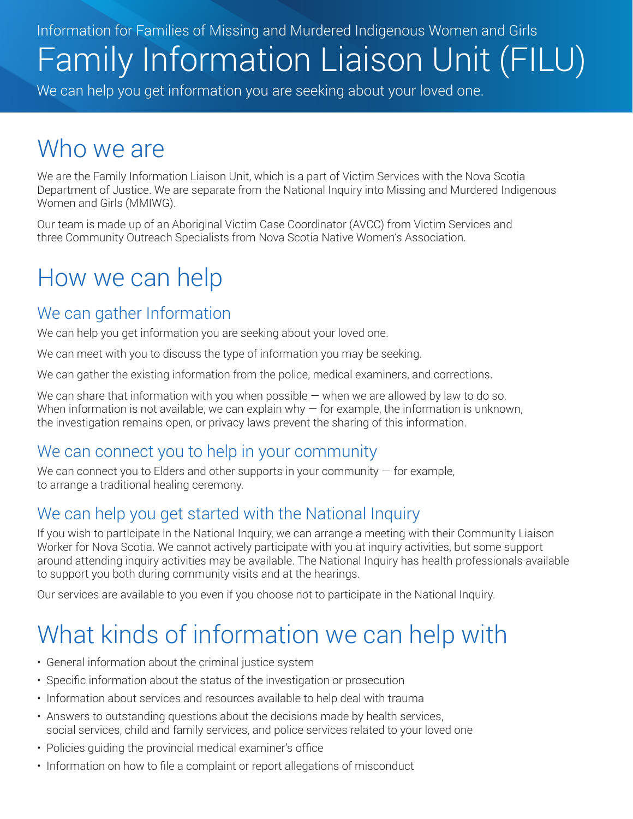Information for Families of Missing and Murdered Indigenous Women and Girls Family Information Liaison Unit (FILU)

We can help you get information you are seeking about your loved one.

## Who we are

We are the Family Information Liaison Unit, which is a part of Victim Services with the Nova Scotia Department of Justice. We are separate from the National Inquiry into Missing and Murdered Indigenous Women and Girls (MMIWG).

Our team is made up of an Aboriginal Victim Case Coordinator (AVCC) from Victim Services and three Community Outreach Specialists from Nova Scotia Native Women's Association.

## How we can help

### We can gather Information

We can help you get information you are seeking about your loved one.

We can meet with you to discuss the type of information you may be seeking.

We can gather the existing information from the police, medical examiners, and corrections.

We can share that information with you when possible  $-$  when we are allowed by law to do so. When information is not available, we can explain why  $-$  for example, the information is unknown, the investigation remains open, or privacy laws prevent the sharing of this information.

#### We can connect you to help in your community

We can connect you to Elders and other supports in your community  $-$  for example, to arrange a traditional healing ceremony.

### We can help you get started with the National Inquiry

If you wish to participate in the National Inquiry, we can arrange a meeting with their Community Liaison Worker for Nova Scotia. We cannot actively participate with you at inquiry activities, but some support around attending inquiry activities may be available. The National Inquiry has health professionals available to support you both during community visits and at the hearings.

Our services are available to you even if you choose not to participate in the National Inquiry.

# What kinds of information we can help with

- General information about the criminal justice system
- Specific information about the status of the investigation or prosecution
- Information about services and resources available to help deal with trauma
- Answers to outstanding questions about the decisions made by health services, social services, child and family services, and police services related to your loved one
- Policies guiding the provincial medical examiner's office
- Information on how to file a complaint or report allegations of misconduct